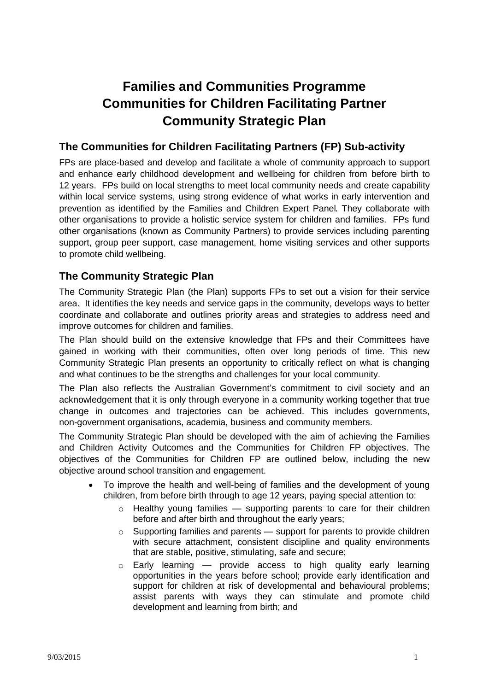# **Families and Communities Programme Communities for Children Facilitating Partner Community Strategic Plan**

# **The Communities for Children Facilitating Partners (FP) Sub-activity**

FPs are place-based and develop and facilitate a whole of community approach to support and enhance early childhood development and wellbeing for children from before birth to 12 years. FPs build on local strengths to meet local community needs and create capability within local service systems, using strong evidence of what works in early intervention and prevention as identified by the Families and Children Expert Panel. They collaborate with other organisations to provide a holistic service system for children and families. FPs fund other organisations (known as Community Partners) to provide services including parenting support, group peer support, case management, home visiting services and other supports to promote child wellbeing.

# **The Community Strategic Plan**

The Community Strategic Plan (the Plan) supports FPs to set out a vision for their service area. It identifies the key needs and service gaps in the community, develops ways to better coordinate and collaborate and outlines priority areas and strategies to address need and improve outcomes for children and families.

The Plan should build on the extensive knowledge that FPs and their Committees have gained in working with their communities, often over long periods of time. This new Community Strategic Plan presents an opportunity to critically reflect on what is changing and what continues to be the strengths and challenges for your local community.

The Plan also reflects the Australian Government's commitment to civil society and an acknowledgement that it is only through everyone in a community working together that true change in outcomes and trajectories can be achieved. This includes governments, non-government organisations, academia, business and community members.

The Community Strategic Plan should be developed with the aim of achieving the Families and Children Activity Outcomes and the Communities for Children FP objectives. The objectives of the Communities for Children FP are outlined below, including the new objective around school transition and engagement.

- To improve the health and well-being of families and the development of young children, from before birth through to age 12 years, paying special attention to:
	- $\circ$  Healthy voung families  $\sim$  supporting parents to care for their children before and after birth and throughout the early years;
	- $\circ$  Supporting families and parents support for parents to provide children with secure attachment, consistent discipline and quality environments that are stable, positive, stimulating, safe and secure;
	- $\circ$  Early learning provide access to high quality early learning opportunities in the years before school; provide early identification and support for children at risk of developmental and behavioural problems; assist parents with ways they can stimulate and promote child development and learning from birth; and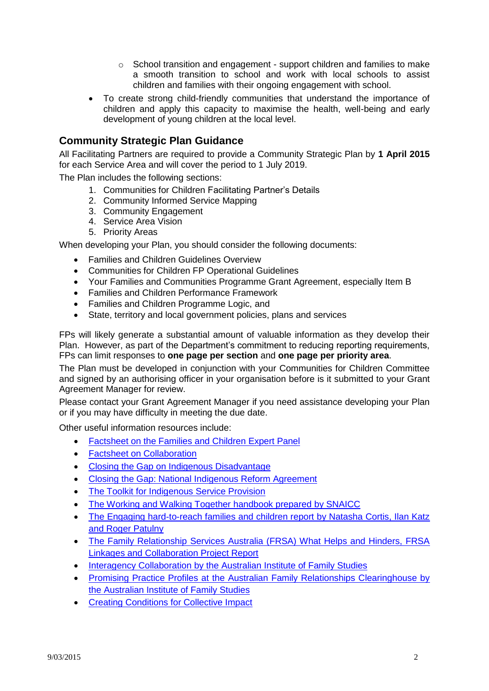- $\circ$  School transition and engagement support children and families to make a smooth transition to school and work with local schools to assist children and families with their ongoing engagement with school.
- To create strong child-friendly communities that understand the importance of children and apply this capacity to maximise the health, well-being and early development of young children at the local level.

# **Community Strategic Plan Guidance**

All Facilitating Partners are required to provide a Community Strategic Plan by **1 April 2015** for each Service Area and will cover the period to 1 July 2019.

The Plan includes the following sections:

- 1. Communities for Children Facilitating Partner's Details
- 2. Community Informed Service Mapping
- 3. Community Engagement
- 4. Service Area Vision
- 5. Priority Areas

When developing your Plan, you should consider the following documents:

- Families and Children Guidelines Overview
- Communities for Children FP Operational Guidelines
- Your Families and Communities Programme Grant Agreement, especially Item B
- Families and Children Performance Framework
- Families and Children Programme Logic, and
- State, territory and local government policies, plans and services

FPs will likely generate a substantial amount of valuable information as they develop their Plan. However, as part of the Department's commitment to reducing reporting requirements, FPs can limit responses to **one page per section** and **one page per priority area**.

The Plan must be developed in conjunction with your Communities for Children Committee and signed by an authorising officer in your organisation before is it submitted to your Grant Agreement Manager for review.

Please contact your Grant Agreement Manager if you need assistance developing your Plan or if you may have difficulty in meeting the due date.

Other useful information resources include:

- [Factsheet on the Families and Children Expert Panel](http://www.dss.gov.au/our-responsibilities/families-and-children/programs-services/family-support-program/families-and-children-activity-expert-panel)
- [Factsheet on Collaboration](http://www.dss.gov.au/our-responsibilities/families-and-children/programs-services/family-support-program/factsheet-collaboration)
- [Closing the Gap on Indigenous Disadvantage](https://www.coag.gov.au/closing_the_gap_in_indigenous_disadvantage)
- [Closing the Gap: National Indigenous Reform Agreement](https://www.coag.gov.au/node/145)
- [The Toolkit for Indigenous Service Provision](http://www.dss.gov.au/our-responsibilities/indigenous-australians/programs-services/recognition-respect/toolkit-for-indigenous-service-provision)
- [The Working and Walking Together handbook prepared by SNAICC](http://www.google.com.au/url?url=http://www.snaicc.org.au/_uploads/rsfil/02497.pdf&rct=j&frm=1&q=&esrc=s&sa=U&ei=3qqnU8HlGYKQkwXGgoHYCg&ved=0CBQQFjAA&usg=AFQjCNF61xvh9XDBs57QBTy4tZk_468UaA)
- The Engaging hard-to-reach families and children report by Natasha Cortis, Ilan Katz [and Roger Patulny](https://www.google.com/url?url=https://www.sprc.unsw.edu.au/media/SPRCFile/33_OccPaper_26.pdf&rct=j&frm=1&q=&esrc=s&sa=U&ei=MaunU4XAA8jGkwXElYC4Cw&ved=0CCkQFjAD&usg=AFQjCNG9B-OYYAlfalZmdjdjldFeQr2Mtw)
- The Family Relationship Services Australia (FRSA) What Helps and Hinders, FRSA [Linkages and Collaboration Project Report](http://www.google.com.au/url?url=http://www.frsa.org.au/storage/documents-pdfs/FRSA%2520Linkages%2520Collaboration%2520Report%2520vWeb.pdf&rct=j&frm=1&q=&esrc=s&sa=U&ei=0K2nU4rDC468kAW7zoHICg&ved=0CBQQFjAA&usg=AFQjCNGfhY9qS41lAB_4TwTCYISlw5eO3g)
- [Interagency Collaboration by the Australian Institute of Family Studies](http://www.google.com.au/url?url=http://www.aifs.gov.au/afrc/pubs/briefing/b021/bp21a.pdf&rct=j&frm=1&q=&esrc=s&sa=U&ei=Ya6nU_b4C8PgkAXhvYCoCw&ved=0CBQQFjAA&usg=AFQjCNFZMpbMv_tOAOVIlsJV2bbCchkN7A)
- Promising Practice Profiles at the Australian Family Relationships Clearinghouse by [the Australian Institute of Family Studies](http://www.aifs.gov.au/cafca/ppp/ppp.html)
- **[Creating Conditions for Collective Impact](http://www.griffith.edu.au/criminology-law/key-centre-ethics-law-justice-governance/research/prevention-developmental-pathways/creating-conditions-for-collective-impact)**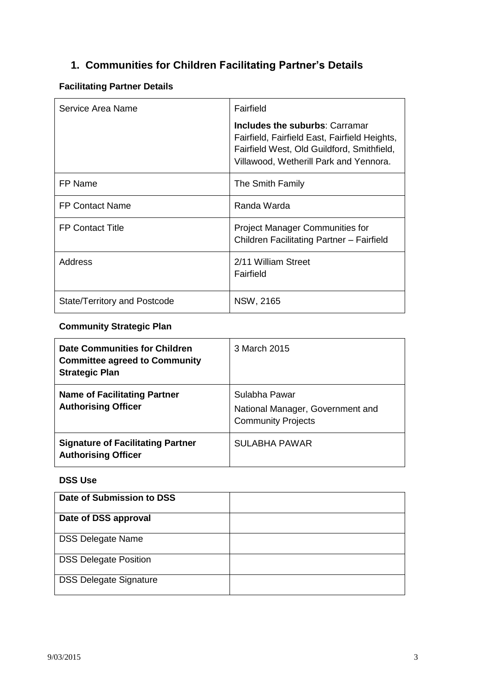# **1. Communities for Children Facilitating Partner's Details**

# **Facilitating Partner Details**

| Service Area Name            | Fairfield                                                                                                                                                               |
|------------------------------|-------------------------------------------------------------------------------------------------------------------------------------------------------------------------|
|                              | Includes the suburbs: Carramar<br>Fairfield, Fairfield East, Fairfield Heights,<br>Fairfield West, Old Guildford, Smithfield,<br>Villawood, Wetherill Park and Yennora. |
| FP Name                      | The Smith Family                                                                                                                                                        |
| <b>FP Contact Name</b>       | Randa Warda                                                                                                                                                             |
| <b>FP Contact Title</b>      | <b>Project Manager Communities for</b><br>Children Facilitating Partner - Fairfield                                                                                     |
| Address                      | 2/11 William Street<br>Fairfield                                                                                                                                        |
| State/Territory and Postcode | NSW, 2165                                                                                                                                                               |

# **Community Strategic Plan**

| <b>Date Communities for Children</b><br><b>Committee agreed to Community</b><br><b>Strategic Plan</b> | 3 March 2015                                                                   |
|-------------------------------------------------------------------------------------------------------|--------------------------------------------------------------------------------|
| <b>Name of Facilitating Partner</b><br><b>Authorising Officer</b>                                     | Sulabha Pawar<br>National Manager, Government and<br><b>Community Projects</b> |
| <b>Signature of Facilitating Partner</b><br><b>Authorising Officer</b>                                | SULABHA PAWAR                                                                  |

## **DSS Use**

| Date of Submission to DSS     |  |
|-------------------------------|--|
| Date of DSS approval          |  |
| <b>DSS Delegate Name</b>      |  |
| <b>DSS Delegate Position</b>  |  |
| <b>DSS Delegate Signature</b> |  |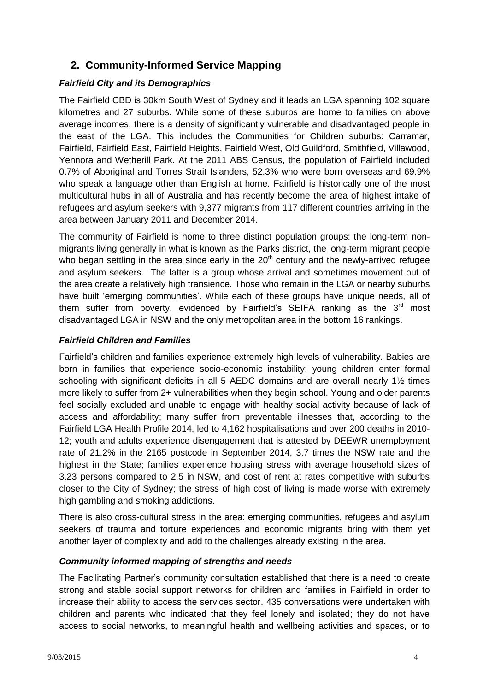# **2. Community-Informed Service Mapping**

## *Fairfield City and its Demographics*

The Fairfield CBD is 30km South West of Sydney and it leads an LGA spanning 102 square kilometres and 27 suburbs. While some of these suburbs are home to families on above average incomes, there is a density of significantly vulnerable and disadvantaged people in the east of the LGA. This includes the Communities for Children suburbs: Carramar, Fairfield, Fairfield East, Fairfield Heights, Fairfield West, Old Guildford, Smithfield, Villawood, Yennora and Wetherill Park. At the 2011 ABS Census, the population of Fairfield included 0.7% of Aboriginal and Torres Strait Islanders, 52.3% who were born overseas and 69.9% who speak a language other than English at home. Fairfield is historically one of the most multicultural hubs in all of Australia and has recently become the area of highest intake of refugees and asylum seekers with 9,377 migrants from 117 different countries arriving in the area between January 2011 and December 2014.

The community of Fairfield is home to three distinct population groups: the long-term nonmigrants living generally in what is known as the Parks district, the long-term migrant people who began settling in the area since early in the  $20<sup>th</sup>$  century and the newly-arrived refugee and asylum seekers. The latter is a group whose arrival and sometimes movement out of the area create a relatively high transience. Those who remain in the LGA or nearby suburbs have built 'emerging communities'. While each of these groups have unique needs, all of them suffer from poverty, evidenced by Fairfield's SEIFA ranking as the  $3<sup>rd</sup>$  most disadvantaged LGA in NSW and the only metropolitan area in the bottom 16 rankings.

# *Fairfield Children and Families*

Fairfield's children and families experience extremely high levels of vulnerability. Babies are born in families that experience socio-economic instability; young children enter formal schooling with significant deficits in all 5 AEDC domains and are overall nearly 1<sup>1/2</sup> times more likely to suffer from 2+ vulnerabilities when they begin school. Young and older parents feel socially excluded and unable to engage with healthy social activity because of lack of access and affordability; many suffer from preventable illnesses that, according to the Fairfield LGA Health Profile 2014, led to 4,162 hospitalisations and over 200 deaths in 2010- 12; youth and adults experience disengagement that is attested by DEEWR unemployment rate of 21.2% in the 2165 postcode in September 2014, 3.7 times the NSW rate and the highest in the State; families experience housing stress with average household sizes of 3.23 persons compared to 2.5 in NSW, and cost of rent at rates competitive with suburbs closer to the City of Sydney; the stress of high cost of living is made worse with extremely high gambling and smoking addictions.

There is also cross-cultural stress in the area: emerging communities, refugees and asylum seekers of trauma and torture experiences and economic migrants bring with them yet another layer of complexity and add to the challenges already existing in the area.

## *Community informed mapping of strengths and needs*

The Facilitating Partner's community consultation established that there is a need to create strong and stable social support networks for children and families in Fairfield in order to increase their ability to access the services sector. 435 conversations were undertaken with children and parents who indicated that they feel lonely and isolated; they do not have access to social networks, to meaningful health and wellbeing activities and spaces, or to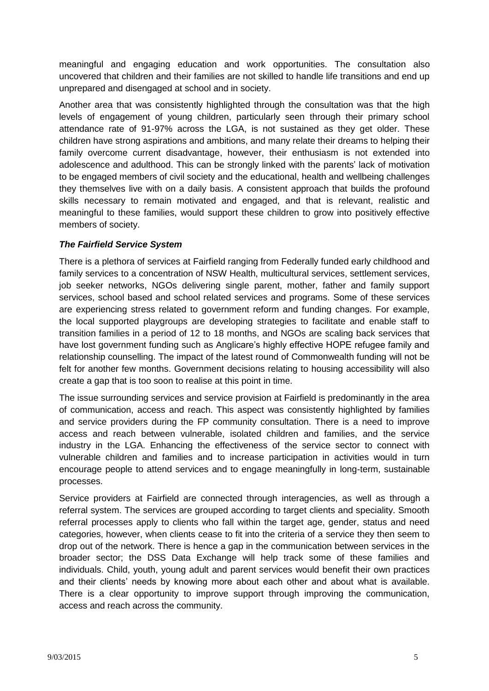meaningful and engaging education and work opportunities. The consultation also uncovered that children and their families are not skilled to handle life transitions and end up unprepared and disengaged at school and in society.

Another area that was consistently highlighted through the consultation was that the high levels of engagement of young children, particularly seen through their primary school attendance rate of 91-97% across the LGA, is not sustained as they get older. These children have strong aspirations and ambitions, and many relate their dreams to helping their family overcome current disadvantage, however, their enthusiasm is not extended into adolescence and adulthood. This can be strongly linked with the parents' lack of motivation to be engaged members of civil society and the educational, health and wellbeing challenges they themselves live with on a daily basis. A consistent approach that builds the profound skills necessary to remain motivated and engaged, and that is relevant, realistic and meaningful to these families, would support these children to grow into positively effective members of society.

#### *The Fairfield Service System*

There is a plethora of services at Fairfield ranging from Federally funded early childhood and family services to a concentration of NSW Health, multicultural services, settlement services, job seeker networks, NGOs delivering single parent, mother, father and family support services, school based and school related services and programs. Some of these services are experiencing stress related to government reform and funding changes. For example, the local supported playgroups are developing strategies to facilitate and enable staff to transition families in a period of 12 to 18 months, and NGOs are scaling back services that have lost government funding such as Anglicare's highly effective HOPE refugee family and relationship counselling. The impact of the latest round of Commonwealth funding will not be felt for another few months. Government decisions relating to housing accessibility will also create a gap that is too soon to realise at this point in time.

The issue surrounding services and service provision at Fairfield is predominantly in the area of communication, access and reach. This aspect was consistently highlighted by families and service providers during the FP community consultation. There is a need to improve access and reach between vulnerable, isolated children and families, and the service industry in the LGA. Enhancing the effectiveness of the service sector to connect with vulnerable children and families and to increase participation in activities would in turn encourage people to attend services and to engage meaningfully in long-term, sustainable processes.

Service providers at Fairfield are connected through interagencies, as well as through a referral system. The services are grouped according to target clients and speciality. Smooth referral processes apply to clients who fall within the target age, gender, status and need categories, however, when clients cease to fit into the criteria of a service they then seem to drop out of the network. There is hence a gap in the communication between services in the broader sector; the DSS Data Exchange will help track some of these families and individuals. Child, youth, young adult and parent services would benefit their own practices and their clients' needs by knowing more about each other and about what is available. There is a clear opportunity to improve support through improving the communication, access and reach across the community.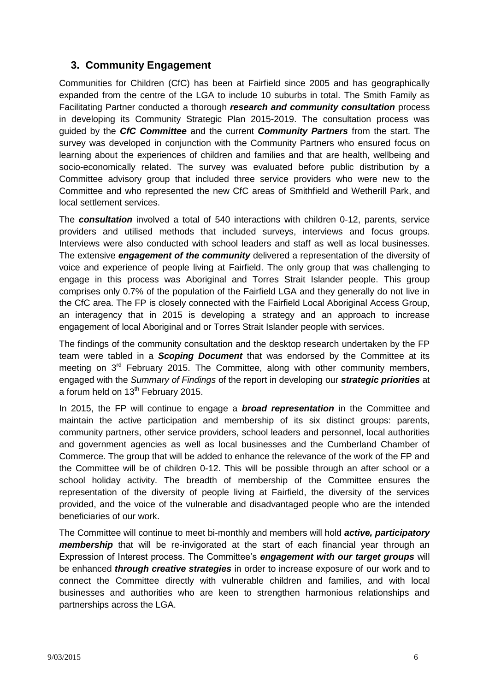# **3. Community Engagement**

Communities for Children (CfC) has been at Fairfield since 2005 and has geographically expanded from the centre of the LGA to include 10 suburbs in total. The Smith Family as Facilitating Partner conducted a thorough *research and community consultation* process in developing its Community Strategic Plan 2015-2019. The consultation process was guided by the *CfC Committee* and the current *Community Partners* from the start. The survey was developed in conjunction with the Community Partners who ensured focus on learning about the experiences of children and families and that are health, wellbeing and socio-economically related. The survey was evaluated before public distribution by a Committee advisory group that included three service providers who were new to the Committee and who represented the new CfC areas of Smithfield and Wetherill Park, and local settlement services.

The *consultation* involved a total of 540 interactions with children 0-12, parents, service providers and utilised methods that included surveys, interviews and focus groups. Interviews were also conducted with school leaders and staff as well as local businesses. The extensive *engagement of the community* delivered a representation of the diversity of voice and experience of people living at Fairfield. The only group that was challenging to engage in this process was Aboriginal and Torres Strait Islander people. This group comprises only 0.7% of the population of the Fairfield LGA and they generally do not live in the CfC area. The FP is closely connected with the Fairfield Local Aboriginal Access Group, an interagency that in 2015 is developing a strategy and an approach to increase engagement of local Aboriginal and or Torres Strait Islander people with services.

The findings of the community consultation and the desktop research undertaken by the FP team were tabled in a *Scoping Document* that was endorsed by the Committee at its meeting on  $3<sup>rd</sup>$  February 2015. The Committee, along with other community members, engaged with the *Summary of Findings* of the report in developing our *strategic priorities* at a forum held on  $13<sup>th</sup>$  February 2015.

In 2015, the FP will continue to engage a *broad representation* in the Committee and maintain the active participation and membership of its six distinct groups: parents, community partners, other service providers, school leaders and personnel, local authorities and government agencies as well as local businesses and the Cumberland Chamber of Commerce. The group that will be added to enhance the relevance of the work of the FP and the Committee will be of children 0-12. This will be possible through an after school or a school holiday activity. The breadth of membership of the Committee ensures the representation of the diversity of people living at Fairfield, the diversity of the services provided, and the voice of the vulnerable and disadvantaged people who are the intended beneficiaries of our work.

The Committee will continue to meet bi-monthly and members will hold *active, participatory membership* that will be re-invigorated at the start of each financial year through an Expression of Interest process. The Committee's *engagement with our target groups* will be enhanced *through creative strategies* in order to increase exposure of our work and to connect the Committee directly with vulnerable children and families, and with local businesses and authorities who are keen to strengthen harmonious relationships and partnerships across the LGA.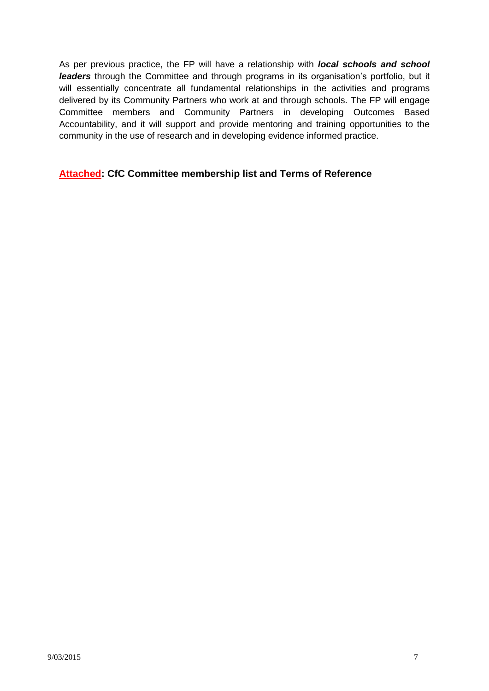As per previous practice, the FP will have a relationship with *local schools and school leaders* through the Committee and through programs in its organisation's portfolio, but it will essentially concentrate all fundamental relationships in the activities and programs delivered by its Community Partners who work at and through schools. The FP will engage Committee members and Community Partners in developing Outcomes Based Accountability, and it will support and provide mentoring and training opportunities to the community in the use of research and in developing evidence informed practice.

## **Attached: CfC Committee membership list and Terms of Reference**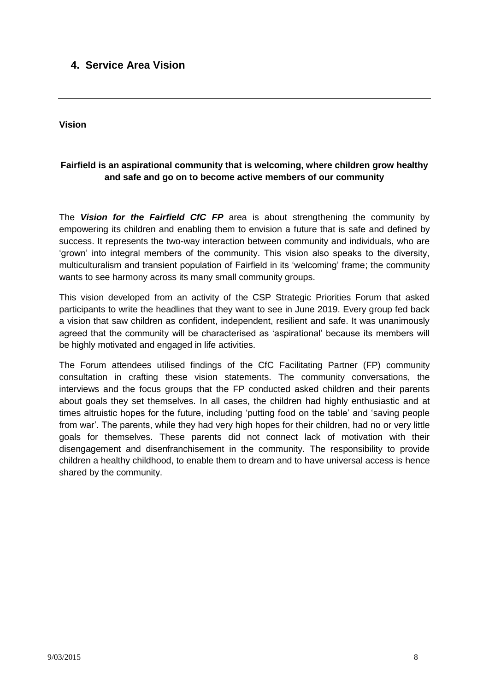# **4. Service Area Vision**

**Vision**

## **Fairfield is an aspirational community that is welcoming, where children grow healthy and safe and go on to become active members of our community**

The *Vision for the Fairfield CfC FP* area is about strengthening the community by empowering its children and enabling them to envision a future that is safe and defined by success. It represents the two-way interaction between community and individuals, who are 'grown' into integral members of the community. This vision also speaks to the diversity, multiculturalism and transient population of Fairfield in its 'welcoming' frame; the community wants to see harmony across its many small community groups.

This vision developed from an activity of the CSP Strategic Priorities Forum that asked participants to write the headlines that they want to see in June 2019. Every group fed back a vision that saw children as confident, independent, resilient and safe. It was unanimously agreed that the community will be characterised as 'aspirational' because its members will be highly motivated and engaged in life activities.

The Forum attendees utilised findings of the CfC Facilitating Partner (FP) community consultation in crafting these vision statements. The community conversations, the interviews and the focus groups that the FP conducted asked children and their parents about goals they set themselves. In all cases, the children had highly enthusiastic and at times altruistic hopes for the future, including 'putting food on the table' and 'saving people from war'. The parents, while they had very high hopes for their children, had no or very little goals for themselves. These parents did not connect lack of motivation with their disengagement and disenfranchisement in the community. The responsibility to provide children a healthy childhood, to enable them to dream and to have universal access is hence shared by the community.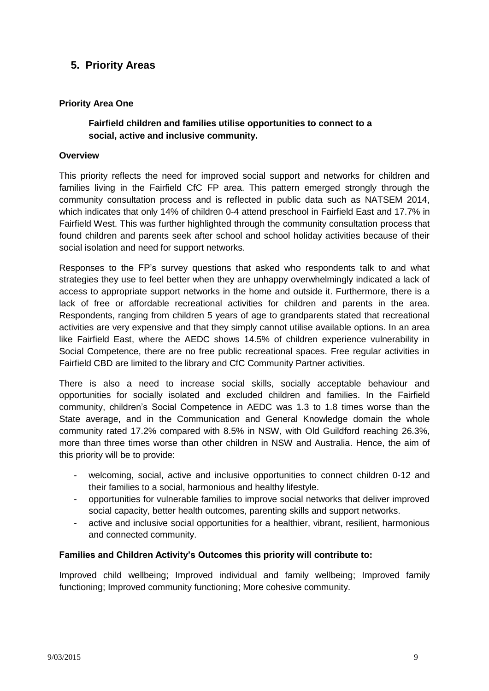# **5. Priority Areas**

### **Priority Area One**

### **Fairfield children and families utilise opportunities to connect to a social, active and inclusive community.**

#### **Overview**

This priority reflects the need for improved social support and networks for children and families living in the Fairfield CfC FP area. This pattern emerged strongly through the community consultation process and is reflected in public data such as NATSEM 2014, which indicates that only 14% of children 0-4 attend preschool in Fairfield East and 17.7% in Fairfield West. This was further highlighted through the community consultation process that found children and parents seek after school and school holiday activities because of their social isolation and need for support networks.

Responses to the FP's survey questions that asked who respondents talk to and what strategies they use to feel better when they are unhappy overwhelmingly indicated a lack of access to appropriate support networks in the home and outside it. Furthermore, there is a lack of free or affordable recreational activities for children and parents in the area. Respondents, ranging from children 5 years of age to grandparents stated that recreational activities are very expensive and that they simply cannot utilise available options. In an area like Fairfield East, where the AEDC shows 14.5% of children experience vulnerability in Social Competence, there are no free public recreational spaces. Free regular activities in Fairfield CBD are limited to the library and CfC Community Partner activities.

There is also a need to increase social skills, socially acceptable behaviour and opportunities for socially isolated and excluded children and families. In the Fairfield community, children's Social Competence in AEDC was 1.3 to 1.8 times worse than the State average, and in the Communication and General Knowledge domain the whole community rated 17.2% compared with 8.5% in NSW, with Old Guildford reaching 26.3%, more than three times worse than other children in NSW and Australia. Hence, the aim of this priority will be to provide:

- welcoming, social, active and inclusive opportunities to connect children 0-12 and their families to a social, harmonious and healthy lifestyle.
- opportunities for vulnerable families to improve social networks that deliver improved social capacity, better health outcomes, parenting skills and support networks.
- active and inclusive social opportunities for a healthier, vibrant, resilient, harmonious and connected community.

#### **Families and Children Activity's Outcomes this priority will contribute to:**

Improved child wellbeing; Improved individual and family wellbeing; Improved family functioning; Improved community functioning; More cohesive community.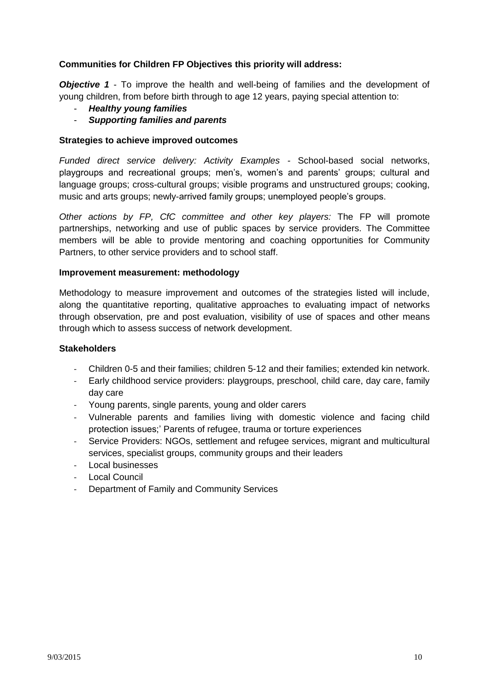#### **Communities for Children FP Objectives this priority will address:**

*Objective 1* - To improve the health and well-being of families and the development of young children, from before birth through to age 12 years, paying special attention to:

- *Healthy young families*
- *Supporting families and parents*

#### **Strategies to achieve improved outcomes**

*Funded direct service delivery: Activity Examples -* School-based social networks, playgroups and recreational groups; men's, women's and parents' groups; cultural and language groups; cross-cultural groups; visible programs and unstructured groups; cooking, music and arts groups; newly-arrived family groups; unemployed people's groups.

*Other actions by FP, CfC committee and other key players:* The FP will promote partnerships, networking and use of public spaces by service providers. The Committee members will be able to provide mentoring and coaching opportunities for Community Partners, to other service providers and to school staff.

#### **Improvement measurement: methodology**

Methodology to measure improvement and outcomes of the strategies listed will include, along the quantitative reporting, qualitative approaches to evaluating impact of networks through observation, pre and post evaluation, visibility of use of spaces and other means through which to assess success of network development.

- Children 0-5 and their families; children 5-12 and their families; extended kin network.
- Early childhood service providers: playgroups, preschool, child care, day care, family day care
- Young parents, single parents, young and older carers
- Vulnerable parents and families living with domestic violence and facing child protection issues;' Parents of refugee, trauma or torture experiences
- Service Providers: NGOs, settlement and refugee services, migrant and multicultural services, specialist groups, community groups and their leaders
- Local businesses
- Local Council
- Department of Family and Community Services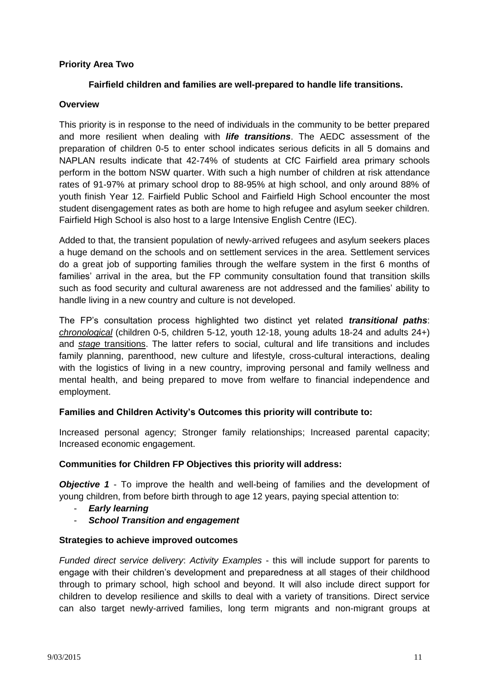#### **Priority Area Two**

#### **Fairfield children and families are well-prepared to handle life transitions.**

#### **Overview**

This priority is in response to the need of individuals in the community to be better prepared and more resilient when dealing with *life transitions*. The AEDC assessment of the preparation of children 0-5 to enter school indicates serious deficits in all 5 domains and NAPLAN results indicate that 42-74% of students at CfC Fairfield area primary schools perform in the bottom NSW quarter. With such a high number of children at risk attendance rates of 91-97% at primary school drop to 88-95% at high school, and only around 88% of youth finish Year 12. Fairfield Public School and Fairfield High School encounter the most student disengagement rates as both are home to high refugee and asylum seeker children. Fairfield High School is also host to a large Intensive English Centre (IEC).

Added to that, the transient population of newly-arrived refugees and asylum seekers places a huge demand on the schools and on settlement services in the area. Settlement services do a great job of supporting families through the welfare system in the first 6 months of families' arrival in the area, but the FP community consultation found that transition skills such as food security and cultural awareness are not addressed and the families' ability to handle living in a new country and culture is not developed.

The FP's consultation process highlighted two distinct yet related *transitional paths*: *chronological* (children 0-5, children 5-12, youth 12-18, young adults 18-24 and adults 24+) and *stage* transitions. The latter refers to social, cultural and life transitions and includes family planning, parenthood, new culture and lifestyle, cross-cultural interactions, dealing with the logistics of living in a new country, improving personal and family wellness and mental health, and being prepared to move from welfare to financial independence and employment.

#### **Families and Children Activity's Outcomes this priority will contribute to:**

Increased personal agency; Stronger family relationships; Increased parental capacity; Increased economic engagement.

#### **Communities for Children FP Objectives this priority will address:**

*Objective 1* - To improve the health and well-being of families and the development of young children, from before birth through to age 12 years, paying special attention to:

- *Early learning*
- *School Transition and engagement*

#### **Strategies to achieve improved outcomes**

*Funded direct service delivery*: *Activity Examples* - this will include support for parents to engage with their children's development and preparedness at all stages of their childhood through to primary school, high school and beyond. It will also include direct support for children to develop resilience and skills to deal with a variety of transitions. Direct service can also target newly-arrived families, long term migrants and non-migrant groups at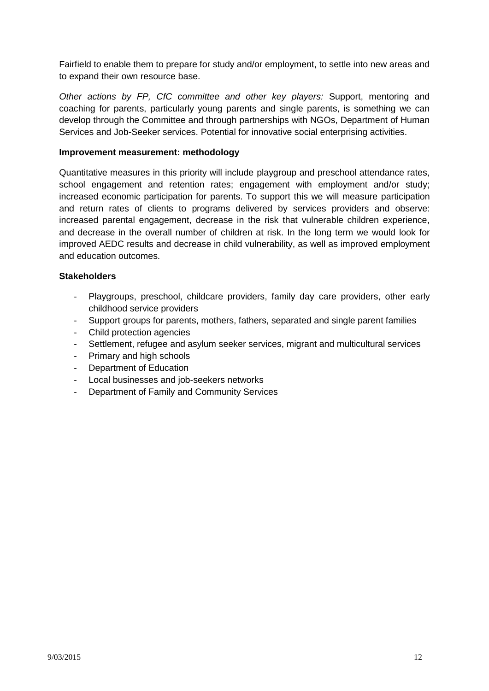Fairfield to enable them to prepare for study and/or employment, to settle into new areas and to expand their own resource base.

*Other actions by FP, CfC committee and other key players:* Support, mentoring and coaching for parents, particularly young parents and single parents, is something we can develop through the Committee and through partnerships with NGOs, Department of Human Services and Job-Seeker services. Potential for innovative social enterprising activities.

#### **Improvement measurement: methodology**

Quantitative measures in this priority will include playgroup and preschool attendance rates, school engagement and retention rates; engagement with employment and/or study; increased economic participation for parents. To support this we will measure participation and return rates of clients to programs delivered by services providers and observe: increased parental engagement, decrease in the risk that vulnerable children experience, and decrease in the overall number of children at risk. In the long term we would look for improved AEDC results and decrease in child vulnerability, as well as improved employment and education outcomes.

- Playgroups, preschool, childcare providers, family day care providers, other early childhood service providers
- Support groups for parents, mothers, fathers, separated and single parent families
- Child protection agencies
- Settlement, refugee and asylum seeker services, migrant and multicultural services
- Primary and high schools
- Department of Education
- Local businesses and job-seekers networks
- Department of Family and Community Services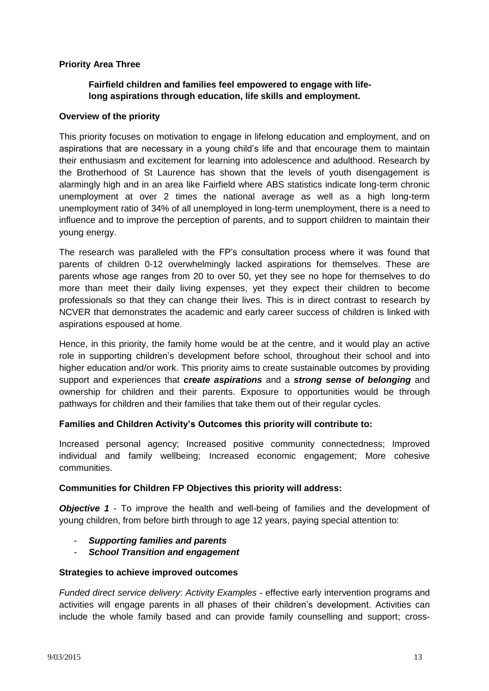#### **Priority Area Three**

# **Fairfield children and families feel empowered to engage with lifelong aspirations through education, life skills and employment.**

#### **Overview of the priority**

This priority focuses on motivation to engage in lifelong education and employment, and on aspirations that are necessary in a young child's life and that encourage them to maintain their enthusiasm and excitement for learning into adolescence and adulthood. Research by the Brotherhood of St Laurence has shown that the levels of youth disengagement is alarmingly high and in an area like Fairfield where ABS statistics indicate long-term chronic unemployment at over 2 times the national average as well as a high long-term unemployment ratio of 34% of all unemployed in long-term unemployment, there is a need to influence and to improve the perception of parents, and to support children to maintain their young energy.

The research was paralleled with the FP's consultation process where it was found that parents of children 0-12 overwhelmingly lacked aspirations for themselves. These are parents whose age ranges from 20 to over 50, yet they see no hope for themselves to do more than meet their daily living expenses, yet they expect their children to become professionals so that they can change their lives. This is in direct contrast to research by NCVER that demonstrates the academic and early career success of children is linked with aspirations espoused at home.

Hence, in this priority, the family home would be at the centre, and it would play an active role in supporting children's development before school, throughout their school and into higher education and/or work. This priority aims to create sustainable outcomes by providing support and experiences that *create aspirations* and a *strong sense of belonging* and ownership for children and their parents. Exposure to opportunities would be through pathways for children and their families that take them out of their regular cycles.

#### **Families and Children Activity's Outcomes this priority will contribute to:**

Increased personal agency; Increased positive community connectedness; Improved individual and family wellbeing; Increased economic engagement; More cohesive communities.

#### **Communities for Children FP Objectives this priority will address:**

*Objective 1* - To improve the health and well-being of families and the development of young children, from before birth through to age 12 years, paying special attention to:

- *Supporting families and parents*
- *School Transition and engagement*

#### **Strategies to achieve improved outcomes**

*Funded direct service delivery*: *Activity Examples* - effective early intervention programs and activities will engage parents in all phases of their children's development. Activities can include the whole family based and can provide family counselling and support; cross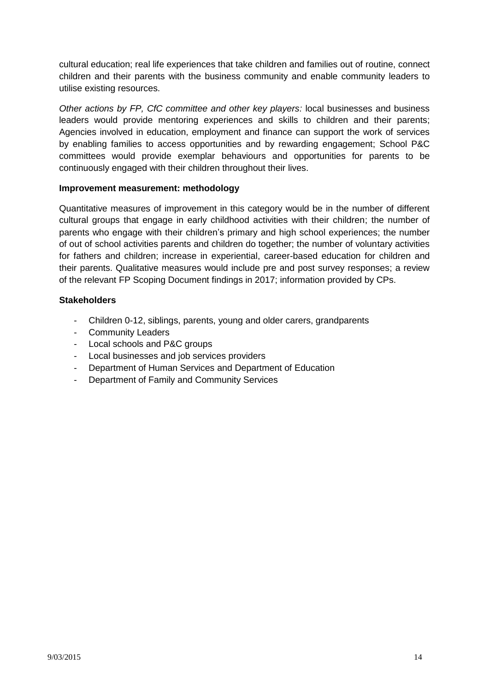cultural education; real life experiences that take children and families out of routine, connect children and their parents with the business community and enable community leaders to utilise existing resources.

*Other actions by FP, CfC committee and other key players:* local businesses and business leaders would provide mentoring experiences and skills to children and their parents; Agencies involved in education, employment and finance can support the work of services by enabling families to access opportunities and by rewarding engagement; School P&C committees would provide exemplar behaviours and opportunities for parents to be continuously engaged with their children throughout their lives.

#### **Improvement measurement: methodology**

Quantitative measures of improvement in this category would be in the number of different cultural groups that engage in early childhood activities with their children; the number of parents who engage with their children's primary and high school experiences; the number of out of school activities parents and children do together; the number of voluntary activities for fathers and children; increase in experiential, career-based education for children and their parents. Qualitative measures would include pre and post survey responses; a review of the relevant FP Scoping Document findings in 2017; information provided by CPs.

- Children 0-12, siblings, parents, young and older carers, grandparents
- Community Leaders
- Local schools and P&C groups
- Local businesses and job services providers
- Department of Human Services and Department of Education
- Department of Family and Community Services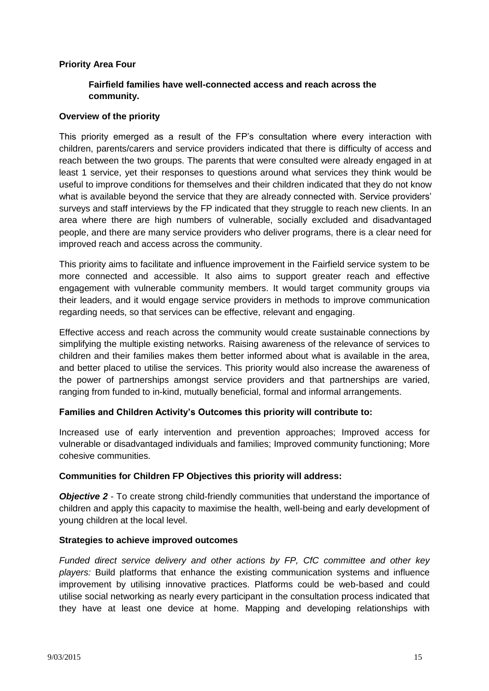#### **Priority Area Four**

## **Fairfield families have well-connected access and reach across the community.**

#### **Overview of the priority**

This priority emerged as a result of the FP's consultation where every interaction with children, parents/carers and service providers indicated that there is difficulty of access and reach between the two groups. The parents that were consulted were already engaged in at least 1 service, yet their responses to questions around what services they think would be useful to improve conditions for themselves and their children indicated that they do not know what is available beyond the service that they are already connected with. Service providers' surveys and staff interviews by the FP indicated that they struggle to reach new clients. In an area where there are high numbers of vulnerable, socially excluded and disadvantaged people, and there are many service providers who deliver programs, there is a clear need for improved reach and access across the community.

This priority aims to facilitate and influence improvement in the Fairfield service system to be more connected and accessible. It also aims to support greater reach and effective engagement with vulnerable community members. It would target community groups via their leaders, and it would engage service providers in methods to improve communication regarding needs, so that services can be effective, relevant and engaging.

Effective access and reach across the community would create sustainable connections by simplifying the multiple existing networks. Raising awareness of the relevance of services to children and their families makes them better informed about what is available in the area, and better placed to utilise the services. This priority would also increase the awareness of the power of partnerships amongst service providers and that partnerships are varied, ranging from funded to in-kind, mutually beneficial, formal and informal arrangements.

#### **Families and Children Activity's Outcomes this priority will contribute to:**

Increased use of early intervention and prevention approaches; Improved access for vulnerable or disadvantaged individuals and families; Improved community functioning; More cohesive communities.

#### **Communities for Children FP Objectives this priority will address:**

**Objective 2** - To create strong child-friendly communities that understand the importance of children and apply this capacity to maximise the health, well-being and early development of young children at the local level.

#### **Strategies to achieve improved outcomes**

*Funded direct service delivery and other actions by FP, CfC committee and other key players:* Build platforms that enhance the existing communication systems and influence improvement by utilising innovative practices. Platforms could be web-based and could utilise social networking as nearly every participant in the consultation process indicated that they have at least one device at home. Mapping and developing relationships with